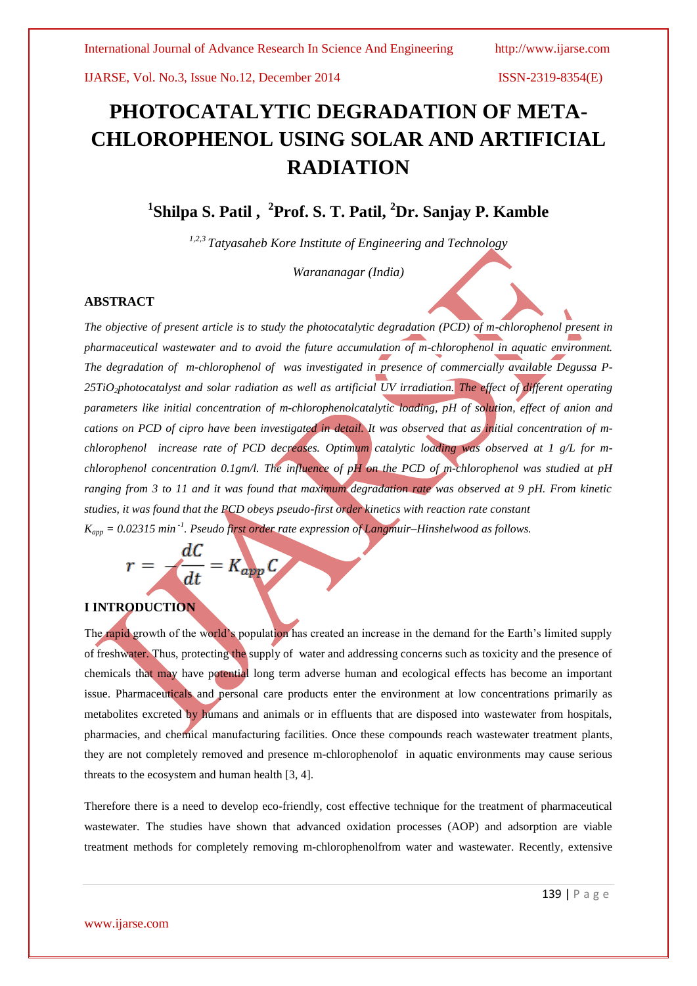# **PHOTOCATALYTIC DEGRADATION OF META-CHLOROPHENOL USING SOLAR AND ARTIFICIAL RADIATION**

**1 Shilpa S. Patil , 2 Prof. S. T. Patil, <sup>2</sup>Dr. Sanjay P. Kamble**

*1,2,3 Tatyasaheb Kore Institute of Engineering and Technology*

*Warananagar (India)*

# **ABSTRACT**

*The objective of present article is to study the photocatalytic degradation (PCD) of m-chlorophenol present in pharmaceutical wastewater and to avoid the future accumulation of m-chlorophenol in aquatic environment. The degradation of m-chlorophenol of was investigated in presence of commercially available Degussa P-25TiO2photocatalyst and solar radiation as well as artificial UV irradiation. The effect of different operating parameters like initial concentration of m-chlorophenolcatalytic loading, pH of solution, effect of anion and cations on PCD of cipro have been investigated in detail. It was observed that as initial concentration of mchlorophenol increase rate of PCD decreases. Optimum catalytic loading was observed at 1 g/L for mchlorophenol concentration 0.1gm/l. The influence of pH on the PCD of m-chlorophenol was studied at pH ranging from 3 to 11 and it was found that maximum degradation rate was observed at 9 pH. From kinetic studies, it was found that the PCD obeys pseudo-first order kinetics with reaction rate constant Kapp = 0.02315 min -1 . Pseudo first order rate expression of Langmuir–Hinshelwood as follows.*

$$
r = -\frac{dC}{dt} = K_{app}C
$$

# **I INTRODUCTION**

The rapid growth of the world's population has created an increase in the demand for the Earth's limited supply of freshwater. Thus, protecting the supply of water and addressing concerns such as toxicity and the presence of chemicals that may have potential long term adverse human and ecological effects has become an important issue. Pharmaceuticals and personal care products enter the environment at low concentrations primarily as metabolites excreted by humans and animals or in effluents that are disposed into wastewater from hospitals, pharmacies, and chemical manufacturing facilities. Once these compounds reach wastewater treatment plants, they are not completely removed and presence m-chlorophenolof in aquatic environments may cause serious threats to the ecosystem and human health [3, 4].

Therefore there is a need to develop eco-friendly, cost effective technique for the treatment of pharmaceutical wastewater. The studies have shown that advanced oxidation processes (AOP) and adsorption are viable treatment methods for completely removing m-chlorophenolfrom water and wastewater. Recently, extensive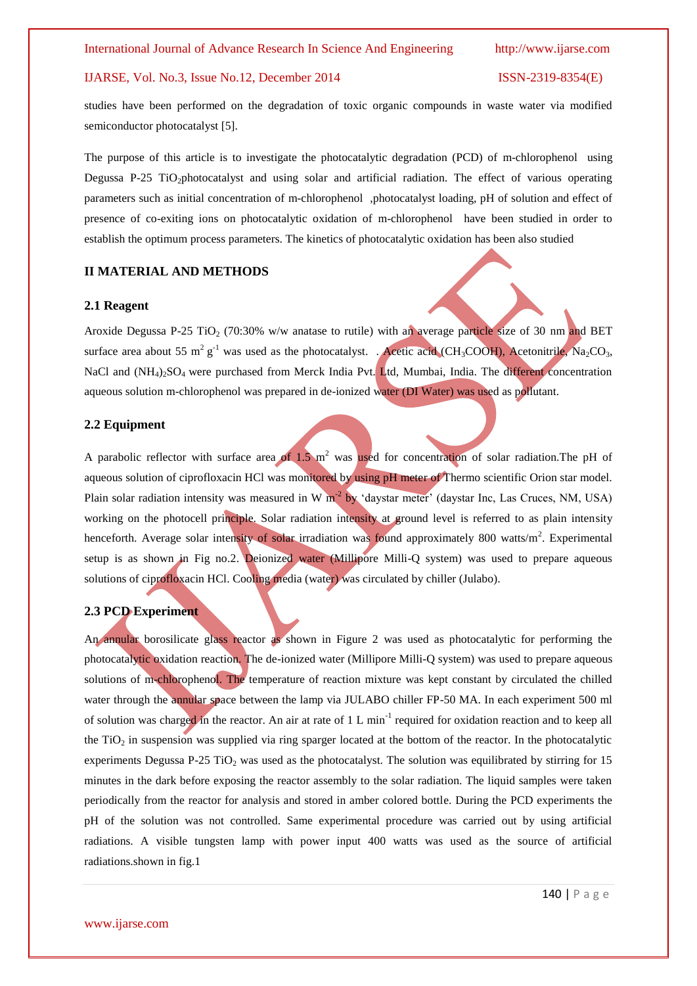studies have been performed on the degradation of toxic organic compounds in waste water via modified semiconductor photocatalyst [5].

The purpose of this article is to investigate the photocatalytic degradation (PCD) of m-chlorophenol using Degussa P-25 TiO<sub>2</sub>photocatalyst and using solar and artificial radiation. The effect of various operating parameters such as initial concentration of m-chlorophenol ,photocatalyst loading, pH of solution and effect of presence of co-exiting ions on photocatalytic oxidation of m-chlorophenol have been studied in order to establish the optimum process parameters. The kinetics of photocatalytic oxidation has been also studied

# **II MATERIAL AND METHODS**

### **2.1 Reagent**

Aroxide Degussa P-25 TiO<sub>2</sub> (70:30% w/w anatase to rutile) with an average particle size of 30 nm and BET surface area about 55 m<sup>2</sup> g<sup>-1</sup> was used as the photocatalyst. . Acetic acid (CH<sub>3</sub>COOH), Acetonitrile, Na<sub>2</sub>CO<sub>3</sub>, NaCl and  $(NH_4)$ <sub>2</sub>SO<sub>4</sub> were purchased from Merck India Pvt. Ltd, Mumbai, India. The different concentration aqueous solution m-chlorophenol was prepared in de-ionized water (DI Water) was used as pollutant.

# **2.2 Equipment**

A parabolic reflector with surface area of  $1.5 \text{ m}^2$  was used for concentration of solar radiation. The pH of aqueous solution of ciprofloxacin HCl was monitored by using pH meter of Thermo scientific Orion star model. Plain solar radiation intensity was measured in W  $m^{-2}$  by 'daystar meter' (daystar Inc, Las Cruces, NM, USA) working on the photocell principle. Solar radiation intensity at ground level is referred to as plain intensity henceforth. Average solar intensity of solar irradiation was found approximately 800 watts/m<sup>2</sup>. Experimental setup is as shown in Fig no.2. Deionized water (Millipore Milli-Q system) was used to prepare aqueous solutions of ciprofloxacin HCl. Cooling media (water) was circulated by chiller (Julabo).

### **2.3 PCD Experiment**

An annular borosilicate glass reactor as shown in Figure 2 was used as photocatalytic for performing the photocatalytic oxidation reaction. The de-ionized water (Millipore Milli-Q system) was used to prepare aqueous solutions of m-chlorophenol. The temperature of reaction mixture was kept constant by circulated the chilled water through the annular space between the lamp via JULABO chiller FP-50 MA. In each experiment 500 ml of solution was charged in the reactor. An air at rate of 1 L min<sup>-1</sup> required for oxidation reaction and to keep all the TiO<sub>2</sub> in suspension was supplied via ring sparger located at the bottom of the reactor. In the photocatalytic experiments Degussa P-25 TiO<sub>2</sub> was used as the photocatalyst. The solution was equilibrated by stirring for 15 minutes in the dark before exposing the reactor assembly to the solar radiation. The liquid samples were taken periodically from the reactor for analysis and stored in amber colored bottle. During the PCD experiments the pH of the solution was not controlled. Same experimental procedure was carried out by using artificial radiations. A visible tungsten lamp with power input 400 watts was used as the source of artificial radiations.shown in fig.1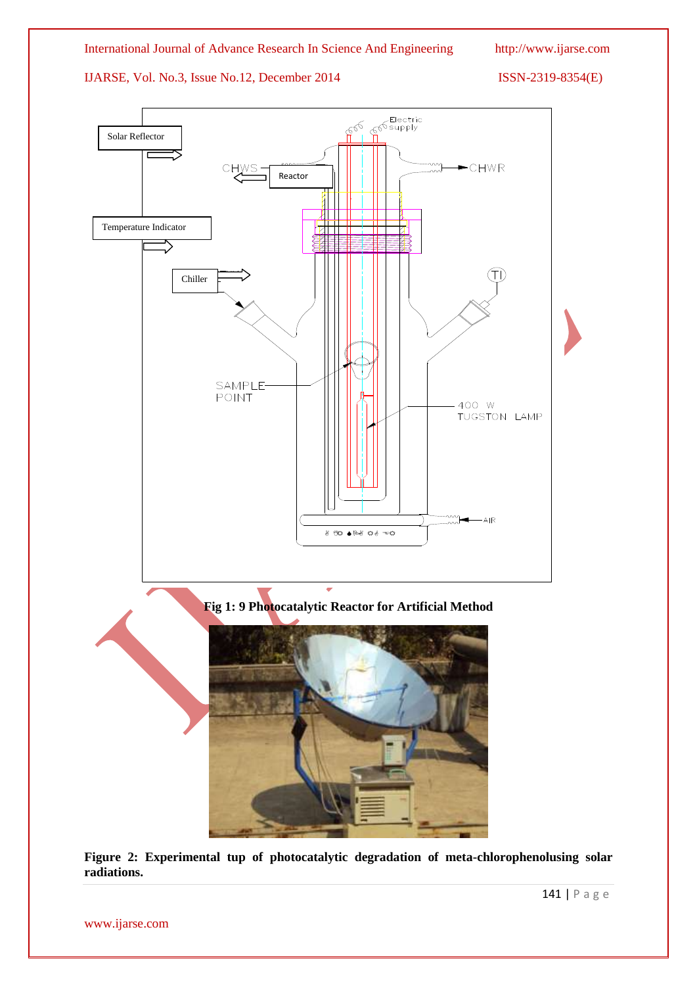

**Figure 2: Experimental tup of photocatalytic degradation of meta-chlorophenolusing solar radiations.**

www.ijarse.com

141 | P a g e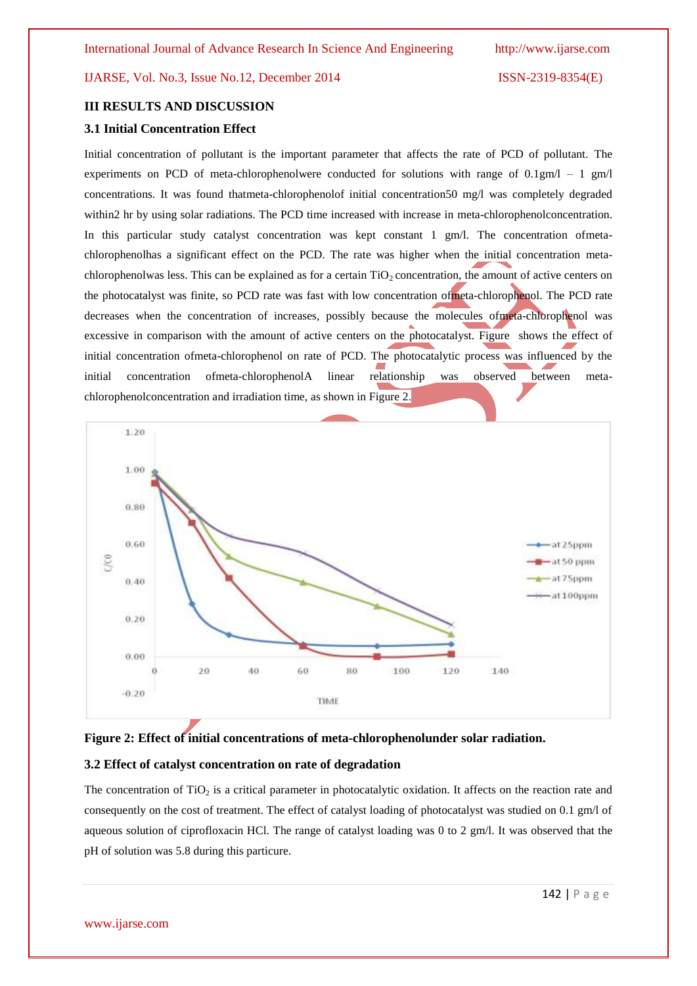# **III RESULTS AND DISCUSSION**

# **3.1 Initial Concentration Effect**

Initial concentration of pollutant is the important parameter that affects the rate of PCD of pollutant. The experiments on PCD of meta-chlorophenolwere conducted for solutions with range of  $0.1 \text{g} \text{m/l} - 1 \text{g} \text{m/l}$ concentrations. It was found thatmeta-chlorophenolof initial concentration50 mg/l was completely degraded within2 hr by using solar radiations. The PCD time increased with increase in meta-chlorophenolconcentration. In this particular study catalyst concentration was kept constant 1 gm/l. The concentration ofmetachlorophenolhas a significant effect on the PCD. The rate was higher when the initial concentration metachlorophenolwas less. This can be explained as for a certain  $TiO<sub>2</sub>$  concentration, the amount of active centers on the photocatalyst was finite, so PCD rate was fast with low concentration ofmeta-chlorophenol. The PCD rate decreases when the concentration of increases, possibly because the molecules ofmeta-chlorophenol was excessive in comparison with the amount of active centers on the photocatalyst. Figure shows the effect of initial concentration ofmeta-chlorophenol on rate of PCD. The photocatalytic process was influenced by the initial concentration ofmeta-chlorophenolA linear relationship was observed between metachlorophenolconcentration and irradiation time, as shown in Figure 2.





#### **3.2 Effect of catalyst concentration on rate of degradation**

The concentration of TiO<sub>2</sub> is a critical parameter in photocatalytic oxidation. It affects on the reaction rate and consequently on the cost of treatment. The effect of catalyst loading of photocatalyst was studied on 0.1 gm/l of aqueous solution of ciprofloxacin HCl. The range of catalyst loading was 0 to 2 gm/l. It was observed that the pH of solution was 5.8 during this particure.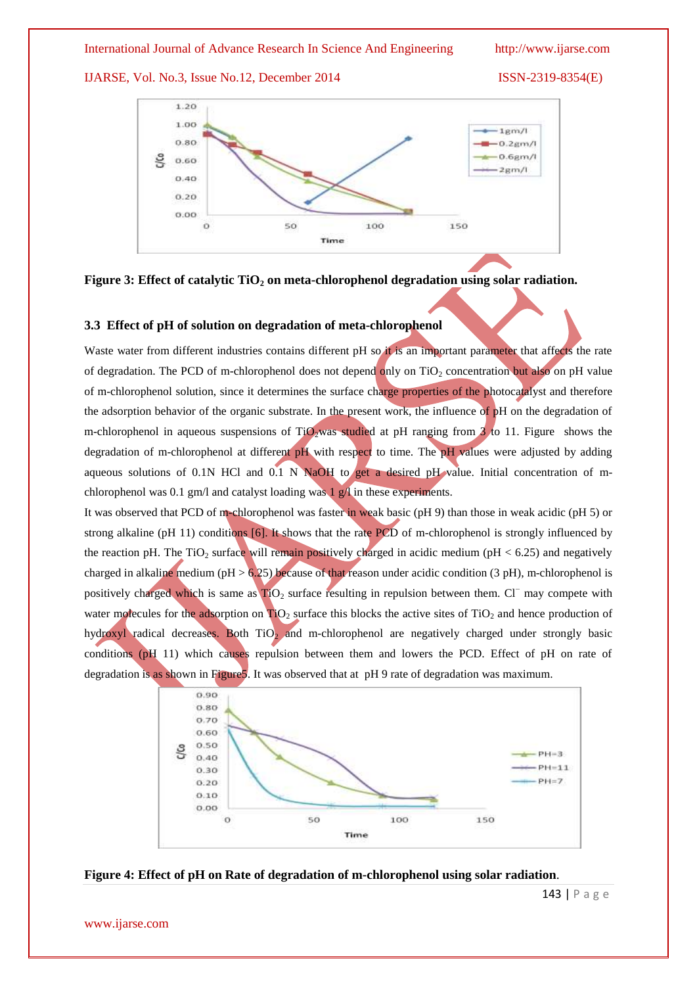IJARSE, Vol. No.3, Issue No.12, December 2014 ISSN-2319-8354(E)





# **3.3 Effect of pH of solution on degradation of meta-chlorophenol**

Waste water from different industries contains different pH so it is an important parameter that affects the rate of degradation. The PCD of m-chlorophenol does not depend only on  $TiO<sub>2</sub>$  concentration but also on pH value of m-chlorophenol solution, since it determines the surface charge properties of the photocatalyst and therefore the adsorption behavior of the organic substrate. In the present work, the influence of pH on the degradation of m-chlorophenol in aqueous suspensions of  $TiO_2$  was studied at pH ranging from 3 to 11. Figure shows the degradation of m-chlorophenol at different pH with respect to time. The pH values were adjusted by adding aqueous solutions of 0.1N HCl and 0.1 N NaOH to get a desired pH value. Initial concentration of mchlorophenol was 0.1 gm/l and catalyst loading was  $1 \text{ g}/1$  in these experiments.

It was observed that PCD of m-chlorophenol was faster in weak basic (pH 9) than those in weak acidic (pH 5) or strong alkaline (pH 11) conditions [6]. It shows that the rate PCD of m-chlorophenol is strongly influenced by the reaction pH. The TiO<sub>2</sub> surface will remain positively charged in acidic medium (pH < 6.25) and negatively charged in alkaline medium (pH  $> 6.25$ ) because of that reason under acidic condition (3 pH), m-chlorophenol is positively charged which is same as  $TiO<sub>2</sub>$  surface resulting in repulsion between them. Cl<sup>−</sup> may compete with water molecules for the adsorption on  $\text{TiO}_2$  surface this blocks the active sites of  $\text{TiO}_2$  and hence production of hydroxyl radical decreases. Both TiO<sub>2</sub> and m-chlorophenol are negatively charged under strongly basic conditions (pH 11) which causes repulsion between them and lowers the PCD. Effect of pH on rate of degradation is as shown in Figure5. It was observed that at pH 9 rate of degradation was maximum.





www.ijarse.com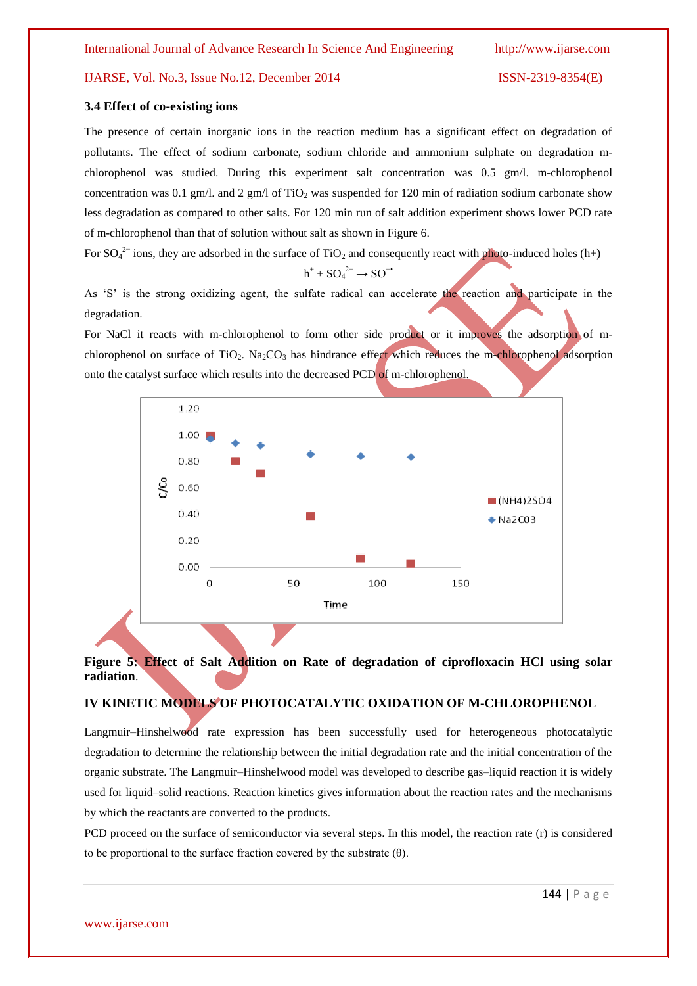### **3.4 Effect of co-existing ions**

The presence of certain inorganic ions in the reaction medium has a significant effect on degradation of pollutants. The effect of sodium carbonate, sodium chloride and ammonium sulphate on degradation mchlorophenol was studied. During this experiment salt concentration was 0.5 gm/l. m-chlorophenol concentration was 0.1 gm/l. and 2 gm/l of TiO<sub>2</sub> was suspended for 120 min of radiation sodium carbonate show less degradation as compared to other salts. For 120 min run of salt addition experiment shows lower PCD rate of m-chlorophenol than that of solution without salt as shown in Figure 6.

For  $SO_4^2$  ions, they are adsorbed in the surface of TiO<sub>2</sub> and consequently react with photo-induced holes (h+)

$$
h^+ + SO_4^{2-} \rightarrow SO^{-1}
$$

As 'S' is the strong oxidizing agent, the sulfate radical can accelerate the reaction and participate in the degradation.

For NaCl it reacts with m-chlorophenol to form other side product or it improves the adsorption of mchlorophenol on surface of TiO<sub>2</sub>. Na<sub>2</sub>CO<sub>3</sub> has hindrance effect which reduces the m-chlorophenol adsorption onto the catalyst surface which results into the decreased PCD of m-chlorophenol.



# **Figure 5: Effect of Salt Addition on Rate of degradation of ciprofloxacin HCl using solar radiation**.

## **IV KINETIC MODELS OF PHOTOCATALYTIC OXIDATION OF M-CHLOROPHENOL**

Langmuir–Hinshelwood rate expression has been successfully used for heterogeneous photocatalytic degradation to determine the relationship between the initial degradation rate and the initial concentration of the organic substrate. The Langmuir–Hinshelwood model was developed to describe gas–liquid reaction it is widely used for liquid–solid reactions. Reaction kinetics gives information about the reaction rates and the mechanisms by which the reactants are converted to the products.

PCD proceed on the surface of semiconductor via several steps. In this model, the reaction rate (r) is considered to be proportional to the surface fraction covered by the substrate  $(\theta)$ .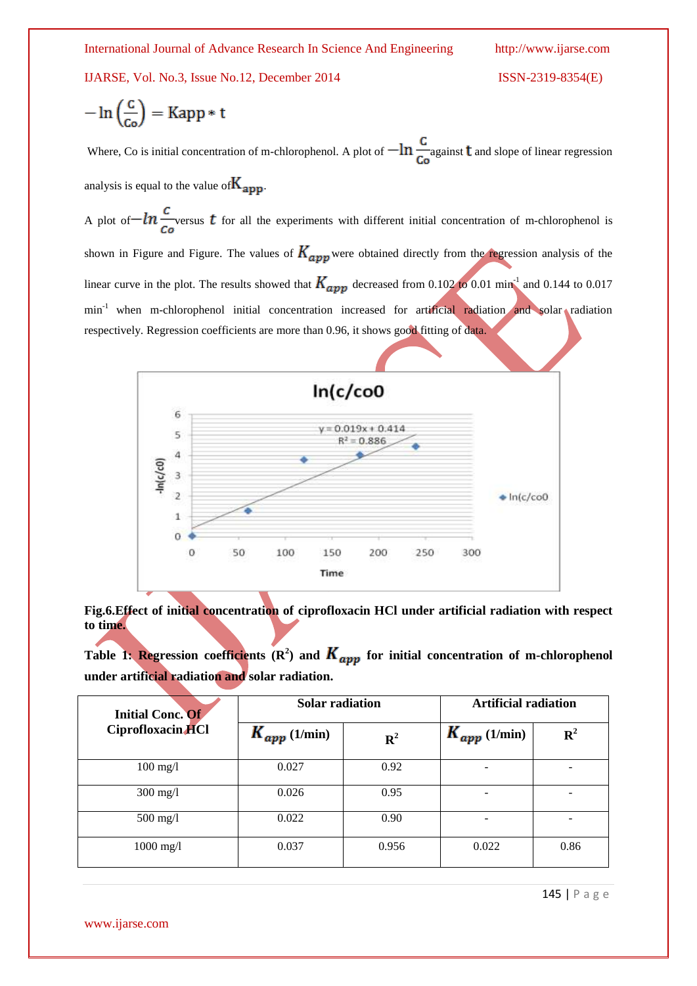IJARSE, Vol. No.3, Issue No.12, December 2014

$$
ISSN-2319-8354(E)
$$

$$
-\ln\left(\frac{c}{c_o}\right) = \text{Kapp} * t
$$

Where, Co is initial concentration of m-chlorophenol. A plot of  $-\ln \frac{C}{C_0}$  against **t** and slope of linear regression analysis is equal to the value of  $K_{\text{app}}$ .

A plot of  $-\ln \frac{c}{c}$  versus t for all the experiments with different initial concentration of m-chlorophenol is shown in Figure and Figure. The values of  $K_{app}$  were obtained directly from the regression analysis of the linear curve in the plot. The results showed that  $K_{ann}$  decreased from 0.102 to 0.01 min<sup>-1</sup> and 0.144 to 0.017 min<sup>-1</sup> when m-chlorophenol initial concentration increased for artificial radiation and solar radiation respectively. Regression coefficients are more than 0.96, it shows good fitting of data.



**Fig.6.Effect of initial concentration of ciprofloxacin HCl under artificial radiation with respect to time.**

Table 1: Regression coefficients  $(R^2)$  and  $K_{amp}$  for initial concentration of m-chlorophenol **under artificial radiation and solar radiation.**

| <b>Initial Conc. Of</b><br>Ciprofloxacin HCl | <b>Solar radiation</b> |             | <b>Artificial radiation</b> |             |
|----------------------------------------------|------------------------|-------------|-----------------------------|-------------|
|                                              | $K_{app}$ (1/min)      | ${\bf R}^2$ | $K_{app}$ (1/min)           | ${\bf R}^2$ |
| $100$ mg/l                                   | 0.027                  | 0.92        | -                           |             |
| $300 \text{ mg/l}$                           | 0.026                  | 0.95        | -                           | -           |
| $500$ mg/l                                   | 0.022                  | 0.90        | -                           | ۰           |
| $1000$ mg/l                                  | 0.037                  | 0.956       | 0.022                       | 0.86        |

145 | P a g e

www.ijarse.com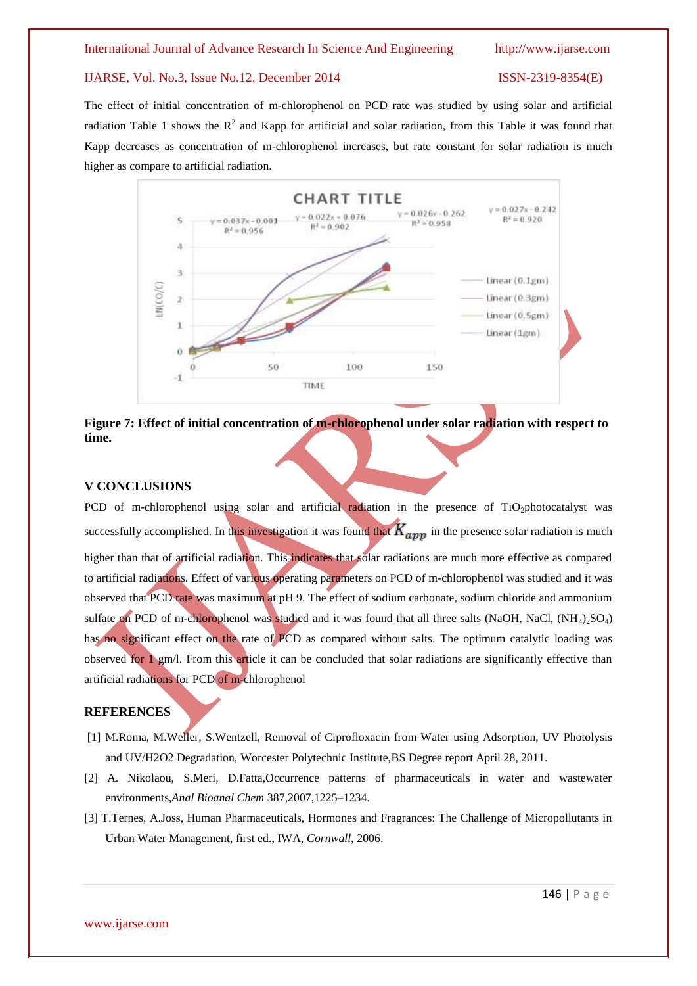# IJARSE, Vol. No.3, Issue No.12, December 2014 ISSN-2319-8354(E)

The effect of initial concentration of m-chlorophenol on PCD rate was studied by using solar and artificial radiation Table 1 shows the  $R^2$  and Kapp for artificial and solar radiation, from this Table it was found that Kapp decreases as concentration of m-chlorophenol increases, but rate constant for solar radiation is much higher as compare to artificial radiation.





# **V CONCLUSIONS**

PCD of m-chlorophenol using solar and artificial radiation in the presence of TiO<sub>2</sub>photocatalyst was successfully accomplished. In this investigation it was found that  $K_{amp}$  in the presence solar radiation is much higher than that of artificial radiation. This indicates that solar radiations are much more effective as compared to artificial radiations. Effect of various operating parameters on PCD of m-chlorophenol was studied and it was observed that PCD rate was maximum at pH 9. The effect of sodium carbonate, sodium chloride and ammonium sulfate on PCD of m-chlorophenol was studied and it was found that all three salts (NaOH, NaCl,  $(NH_4)_2SO_4$ ) has no significant effect on the rate of PCD as compared without salts. The optimum catalytic loading was observed for  $1 \text{ gm/l}$ . From this article it can be concluded that solar radiations are significantly effective than artificial radiations for PCD of m-chlorophenol

#### **REFERENCES**

- [1] M.Roma, M.Weller, S.Wentzell, Removal of Ciprofloxacin from Water using Adsorption, UV Photolysis and UV/H2O2 Degradation, Worcester Polytechnic Institute,BS Degree report April 28, 2011.
- [2] A. Nikolaou, S.Meri, D.Fatta,Occurrence patterns of pharmaceuticals in water and wastewater environments,*Anal Bioanal Chem* 387,2007,1225–1234.
- [3] T.Ternes, A.Joss, Human Pharmaceuticals, Hormones and Fragrances: The Challenge of Micropollutants in Urban Water Management, first ed., IWA, *Cornwall*, 2006.